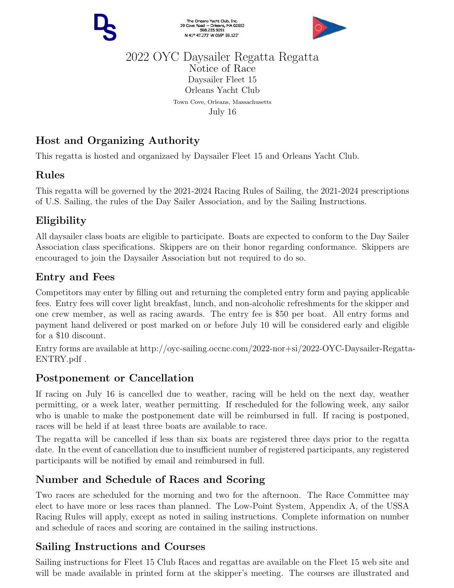

The Orleans Yacht Club, Inc.<br>39 Cove Road ~ Orleans, MA 02653<br>508.255.9091 N 41° 47.273' W 069° 59.123'



#### 2022 OYC Daysailer Regatta Regatta Notice of Race Daysailer Fleet 15 Orleans Yacht Club Town Cove, Orleans, Massachusetts July 16

# Host and Organizing Authority

This regatta is hosted and organizaed by Daysailer Fleet 15 and Orleans Yacht Club.

#### Rules

This regatta will be governed by the 2021-2024 Racing Rules of Sailing, the 2021-2024 prescriptions of U.S. Sailing, the rules of the Day Sailer Association, and by the Sailing Instructions.

# Eligibility

All daysailer class boats are eligible to participate. Boats are expected to conform to the Day Sailer Association class specifications. Skippers are on their honor regarding conformance. Skippers are encouraged to join the Daysailer Association but not required to do so.

# Entry and Fees

Competitors may enter by filling out and returning the completed entry form and paying applicable fees. Entry fees will cover light breakfast, lunch, and non-alcoholic refreshments for the skipper and one crew member, as well as racing awards. The entry fee is \$50 per boat. All entry forms and payment hand delivered or post marked on or before July 10 will be considered early and eligible for a \$10 discount.

Entry forms are available at http://oyc-sailing.occnc.com/2022-nor+si/2022-OYC-Daysailer-Regatta-ENTRY.pdf .

# Postponement or Cancellation

If racing on July 16 is cancelled due to weather, racing will be held on the next day, weather permitting, or a week later, weather permitting. If rescheduled for the following week, any sailor who is unable to make the postponement date will be reimbursed in full. If racing is postponed, races will be held if at least three boats are available to race.

The regatta will be cancelled if less than six boats are registered three days prior to the regatta date. In the event of cancellation due to insufficient number of registered participants, any registered participants will be notified by email and reimbursed in full.

# Number and Schedule of Races and Scoring

Two races are scheduled for the morning and two for the afternoon. The Race Committee may elect to have more or less races than planned. The Low-Point System, Appendix A, of the USSA Racing Rules will apply, except as noted in sailing instructions. Complete information on number and schedule of races and scoring are contained in the sailing instructions.

# Sailing Instructions and Courses

Sailing instructions for Fleet 15 Club Races and regattas are available on the Fleet 15 web site and will be made available in printed form at the skipper's meeting. The courses are illustrated and